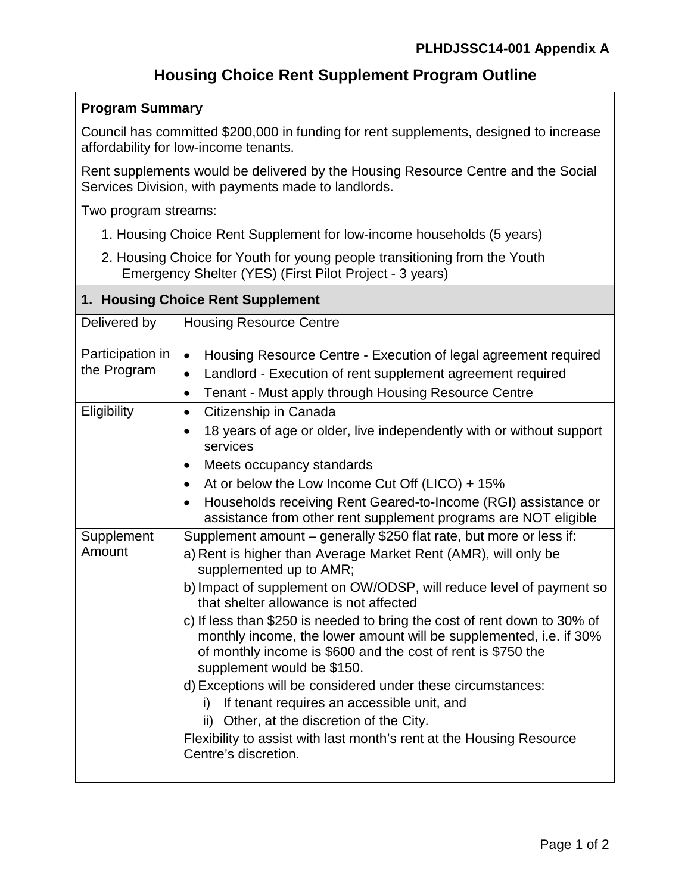## **Housing Choice Rent Supplement Program Outline**

## **Program Summary**

Council has committed \$200,000 in funding for rent supplements, designed to increase affordability for low-income tenants.

Rent supplements would be delivered by the Housing Resource Centre and the Social Services Division, with payments made to landlords.

Two program streams:

- 1. Housing Choice Rent Supplement for low-income households (5 years)
- 2. Housing Choice for Youth for young people transitioning from the Youth Emergency Shelter (YES) (First Pilot Project - 3 years)

## **1. Housing Choice Rent Supplement**

| Delivered by                    | <b>Housing Resource Centre</b>                                                                                                                                                                                                                                                                                                                                                                                                                                                                                                                                                                                                                                                                                                                                                                    |
|---------------------------------|---------------------------------------------------------------------------------------------------------------------------------------------------------------------------------------------------------------------------------------------------------------------------------------------------------------------------------------------------------------------------------------------------------------------------------------------------------------------------------------------------------------------------------------------------------------------------------------------------------------------------------------------------------------------------------------------------------------------------------------------------------------------------------------------------|
| Participation in<br>the Program | Housing Resource Centre - Execution of legal agreement required<br>$\bullet$<br>Landlord - Execution of rent supplement agreement required<br>$\bullet$<br>Tenant - Must apply through Housing Resource Centre<br>$\bullet$                                                                                                                                                                                                                                                                                                                                                                                                                                                                                                                                                                       |
| Eligibility                     | Citizenship in Canada<br>$\bullet$<br>18 years of age or older, live independently with or without support<br>$\bullet$<br>services<br>Meets occupancy standards<br>$\bullet$<br>At or below the Low Income Cut Off (LICO) + $15\%$<br>$\bullet$<br>Households receiving Rent Geared-to-Income (RGI) assistance or<br>$\bullet$<br>assistance from other rent supplement programs are NOT eligible                                                                                                                                                                                                                                                                                                                                                                                                |
| Supplement<br>Amount            | Supplement amount – generally \$250 flat rate, but more or less if:<br>a) Rent is higher than Average Market Rent (AMR), will only be<br>supplemented up to AMR;<br>b) Impact of supplement on OW/ODSP, will reduce level of payment so<br>that shelter allowance is not affected<br>c) If less than \$250 is needed to bring the cost of rent down to 30% of<br>monthly income, the lower amount will be supplemented, i.e. if 30%<br>of monthly income is \$600 and the cost of rent is \$750 the<br>supplement would be \$150.<br>d) Exceptions will be considered under these circumstances:<br>If tenant requires an accessible unit, and<br>i)<br>ii) Other, at the discretion of the City.<br>Flexibility to assist with last month's rent at the Housing Resource<br>Centre's discretion. |